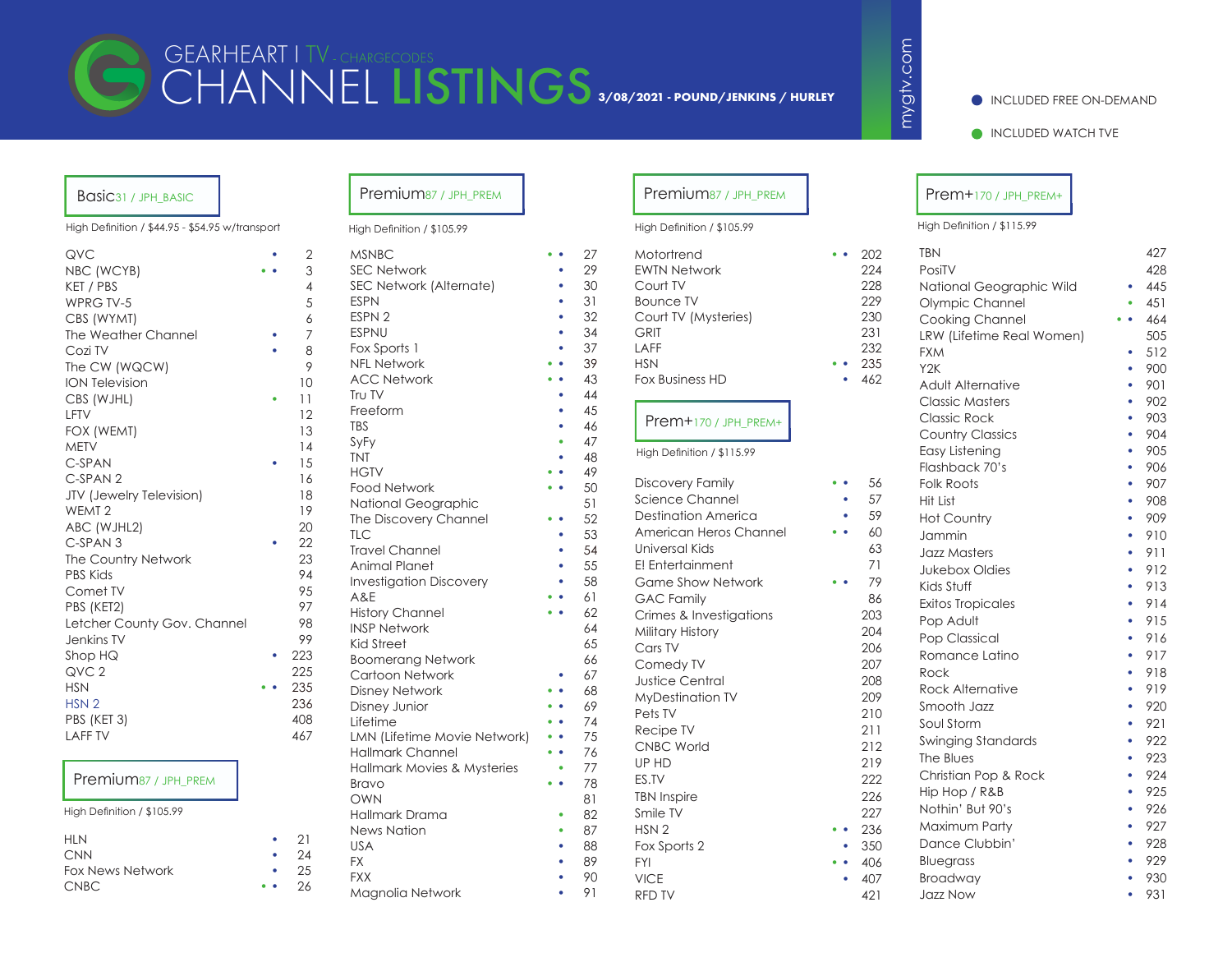# CHANNEL LISTINGS **3/08/2021 - POUND/JENKINS / HURLEY**GEARHEART I TV - CHARGECODES

#### INCLUDED FREE ON-DEMAND

INCLUDED WATCH TVE

# Basic<sub>31</sub> / JPH\_BASIC

High Definition / \$44.95 - \$54.95 w/transport

| QVC                             | 2              |
|---------------------------------|----------------|
| NBC (WCYB)                      | 3              |
| KET / PBS                       | $\overline{4}$ |
| WPRG TV-5                       | 5              |
| CBS (WYMT)                      | 6              |
| The Weather Channel             | 7              |
| Cozi TV                         | 8              |
| The CW (WQCW)                   | 9              |
| <b>ION Television</b>           | 10             |
| CBS (WJHL)                      | 11             |
| LFTV                            | 12             |
| FOX (WEMT)                      | 13             |
| <b>METV</b>                     | 14             |
| C-SPAN                          | 15             |
| C-SPAN <sub>2</sub>             | 16             |
| <b>JTV</b> (Jewelry Television) | 18             |
| WEMT <sub>2</sub>               | 19             |
| ABC (WJHL2)                     | 20             |
| C-SPAN <sub>3</sub>             | 22             |
| The Country Network             | 23             |
| <b>PBS Kids</b>                 | 94             |
| Comet TV                        | 95             |
| PBS (KET2)                      | 97             |
| Letcher County Gov. Channel     | 98             |
| Jenkins TV                      | 99             |
| Shop HQ                         | 223            |
| QVC <sub>2</sub>                | 225            |
| <b>HSN</b>                      | 235            |
| HSN <sub>2</sub>                | 236            |
| PBS (KET 3)                     | 408            |
| <b>LAFF TV</b>                  | 467            |

### Premium87 / JPH\_PREM

High Definition / \$105.99

| <b>HLN</b>              | $\bullet$ | 21 |
|-------------------------|-----------|----|
| <b>CNN</b>              |           | 24 |
| <b>Fox News Network</b> | $\bullet$ | 25 |
| <b>CNBC</b>             | $\bullet$ | 26 |

#### High Definition / \$105.99 High Definition / \$105.99

| $\overline{c}$ | <b>MSNBC</b>                   |   | 27 |
|----------------|--------------------------------|---|----|
| 3              | <b>SEC Network</b>             |   | 29 |
| 4              | SEC Network (Alternate)        |   | 30 |
| 5              | <b>ESPN</b>                    |   | 31 |
| $\mathfrak s$  | ESPN <sub>2</sub>              |   | 32 |
| 7              | <b>ESPNU</b>                   |   | 34 |
| 3              | Fox Sports 1                   |   | 37 |
| 7              | <b>NFL Network</b>             |   | 39 |
| C              | <b>ACC Network</b>             |   | 43 |
| l              | Tru TV                         |   | 44 |
| $\overline{c}$ | Freeform                       |   | 45 |
| 3              | <b>TBS</b>                     |   | 46 |
| 4              | SyFy                           |   | 47 |
| 5              | <b>TNT</b>                     |   | 48 |
| 5              | <b>HGTV</b>                    |   | 49 |
| 3              | <b>Food Network</b>            |   | 50 |
| ₹              | National Geographic            |   | 51 |
| $\mathcal{C}$  | The Discovery Channel          |   | 52 |
| $\overline{c}$ | <b>TLC</b>                     |   | 53 |
| 3              | <b>Travel Channel</b>          | ۰ | 54 |
| 4              | Animal Planet                  | ٠ | 55 |
| 5              | <b>Investigation Discovery</b> |   | 58 |
| 7              | A&E                            |   | 61 |
| 3              | <b>History Channel</b>         |   | 62 |
| 7              | <b>INSP Network</b>            |   | 64 |
| 3              | <b>Kid Street</b>              |   | 65 |
| 5              | <b>Boomerang Network</b>       |   | 66 |
| 5              | Cartoon Network                |   | 67 |
|                | <b>Disney Network</b>          |   | 68 |
| $\mathfrak s$  | Disney Junior                  |   | 69 |
| 3<br>7         | Lifetime                       |   | 74 |
|                | LMN (Lifetime Movie Network)   |   | 75 |
|                | <b>Hallmark Channel</b>        |   | 76 |
|                | Hallmark Movies & Mysteries    |   | 77 |
|                | Bravo                          |   | 78 |
|                | OWN                            |   | 81 |
|                | Hallmark Drama                 |   | 82 |
|                | <b>News Nation</b>             |   | 87 |
| 1              | <b>USA</b>                     |   | 88 |
| 5              | <b>FX</b>                      |   | 89 |
|                | <b>FXX</b>                     |   | 90 |

Magnolia Network • 91

# Premium87 / JPH\_PREM | Premium87 / JPH\_PREM

| Motortrend             |  | 202 |
|------------------------|--|-----|
| <b>EWTN Network</b>    |  | 224 |
| Court TV               |  | 228 |
| <b>Bounce TV</b>       |  | 229 |
| Court TV (Mysteries)   |  | 230 |
| <b>GRIT</b>            |  | 231 |
| LAFF                   |  | 232 |
| <b>HSN</b>             |  | 235 |
| <b>Fox Business HD</b> |  | 462 |

#### Prem+170 / JPH\_PREM+

| Discovery Family           | 56  |
|----------------------------|-----|
| Science Channel            | 57  |
| <b>Destination America</b> | 59  |
| American Heros Channel     | 60  |
| Universal Kids             | 63  |
| E! Entertainment           | 71  |
| <b>Game Show Network</b>   | 79  |
| <b>GAC Family</b>          | 86  |
| Crimes & Investigations    | 203 |
| Military History           | 204 |
| Cars TV                    | 206 |
| Comedy TV                  | 207 |
| <b>Justice Central</b>     | 208 |
| <b>MyDestination TV</b>    | 209 |
| Pets TV                    | 210 |
| Recipe TV                  | 211 |
| <b>CNBC World</b>          | 212 |
| UP HD                      | 219 |
| ES.TV                      | 222 |
| <b>TBN Inspire</b>         | 226 |
| Smile TV                   | 227 |
| HSN <sub>2</sub>           | 236 |
| Fox Sports 2               | 350 |
| <b>FYI</b>                 | 406 |
| <b>VICE</b>                | 407 |

# Prem+170 / JPH\_PREM+

| High Definition / \$115.99 |  |  |
|----------------------------|--|--|

mygtv.com mygtv.com

| Motortrend                     | $\bullet$ | 202        | <b>TBN</b>                |           | 427 |
|--------------------------------|-----------|------------|---------------------------|-----------|-----|
| <b>EWTN Network</b>            |           | 224        | PosiTV                    |           | 428 |
| Court TV                       |           | 228        | National Geographic Wild  |           | 445 |
| <b>Bounce TV</b>               |           | 229        | Olympic Channel           |           | 451 |
| Court TV (Mysteries)           |           | 230        | Cooking Channel           | $\bullet$ | 464 |
| <b>GRIT</b>                    |           | 231        | LRW (Lifetime Real Women) |           | 505 |
| LAFF                           |           | 232        | <b>FXM</b>                |           | 512 |
| <b>HSN</b>                     |           | 235        | Y <sub>2</sub> K          | ٠         | 900 |
| <b>Fox Business HD</b>         |           | 462        | Adult Alternative         | ۰         | 901 |
|                                |           |            | <b>Classic Masters</b>    | ٠         | 902 |
| Prem+170 / JPH_PREM+           |           |            | <b>Classic Rock</b>       | ٠         | 903 |
|                                |           |            | <b>Country Classics</b>   | ٠         | 904 |
| High Definition / \$115.99     |           |            | Easy Listening            | ٠         | 905 |
|                                |           |            | Flashback 70's            | ٠         | 906 |
| <b>Discovery Family</b>        |           | 56         | <b>Folk Roots</b>         |           | 907 |
| <b>Science Channel</b>         | ۰         | 57         | Hit List                  |           | 908 |
| <b>Destination America</b>     |           | 59         | <b>Hot Country</b>        |           | 909 |
| American Heros Channel         |           | 60         | Jammin                    | ٠         | 910 |
| Universal Kids                 |           | 63         | <b>Jazz Masters</b>       | ٠         | 911 |
| E! Entertainment               |           | 71         | <b>Jukebox Oldies</b>     | ۰         | 912 |
| <b>Game Show Network</b>       |           | 79         | Kids Stuff                | ٠         | 913 |
| <b>GAC Family</b>              |           | 86         | <b>Exitos Tropicales</b>  | ٠         | 914 |
| Crimes & Investigations        |           | 203        | Pop Adult                 | ٠         | 915 |
| Military History               |           | 204        | Pop Classical             | ۰         | 916 |
| Cars TV                        |           | 206        | Romance Latino            | ٠         | 917 |
| Comedy TV                      |           | 207        | Rock                      | ٠         | 918 |
| <b>Justice Central</b>         |           | 208        | <b>Rock Alternative</b>   | ٠         | 919 |
| <b>MyDestination TV</b>        |           | 209        | Smooth Jazz               | ٠         | 920 |
| Pets TV                        |           | 210        | Soul Storm                | ٠         | 921 |
| Recipe TV                      |           | 211        | <b>Swinging Standards</b> | ٠         | 922 |
| <b>CNBC World</b>              |           | 212        | The Blues                 |           | 923 |
| UP HD                          |           | 219<br>222 | Christian Pop & Rock      |           | 924 |
| ES.TV                          |           | 226        | Hip Hop / R&B             |           | 925 |
| <b>TBN Inspire</b><br>Smile TV |           | 227        | Nothin' But 90's          | ٠         | 926 |
| HSN <sub>2</sub>               |           | 236        | Maximum Party             | ٠         | 927 |
| Fox Sports 2                   |           | 350        | Dance Clubbin'            | ٠         | 928 |
| <b>FYI</b>                     |           | 406        | Bluegrass                 |           | 929 |
| <b>VICE</b>                    |           | 407        | Broadway                  |           | 930 |
| RFD TV                         |           | 421        | <b>Jazz Now</b>           | ٠         | 931 |
|                                |           |            |                           |           |     |